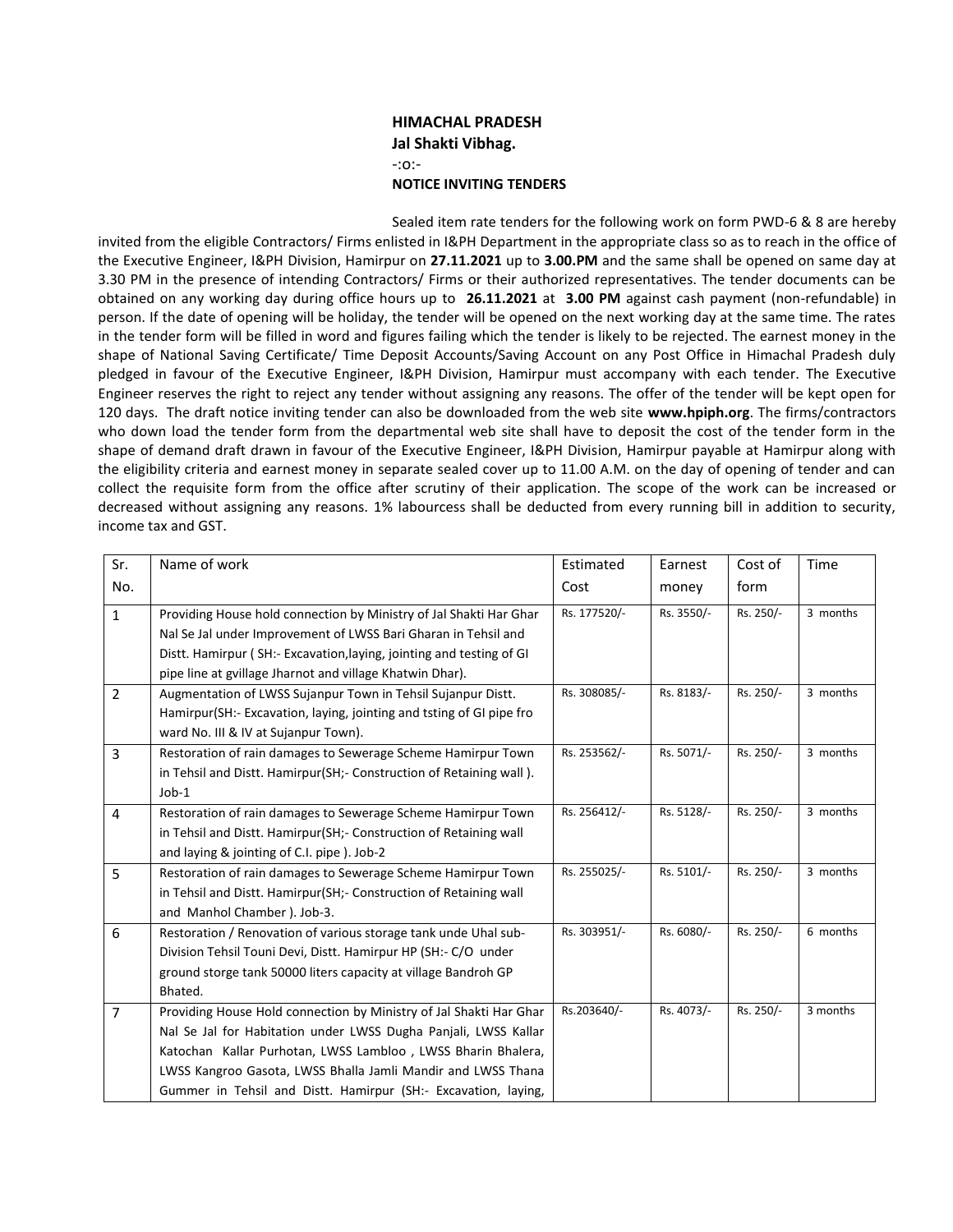## **HIMACHAL PRADESH Jal Shakti Vibhag.** -:o:- **NOTICE INVITING TENDERS**

Sealed item rate tenders for the following work on form PWD-6 & 8 are hereby invited from the eligible Contractors/ Firms enlisted in I&PH Department in the appropriate class so as to reach in the office of the Executive Engineer, I&PH Division, Hamirpur on **27.11.2021** up to **3.00.PM** and the same shall be opened on same day at 3.30 PM in the presence of intending Contractors/ Firms or their authorized representatives. The tender documents can be obtained on any working day during office hours up to **26.11.2021** at **3.00 PM** against cash payment (non-refundable) in person. If the date of opening will be holiday, the tender will be opened on the next working day at the same time. The rates in the tender form will be filled in word and figures failing which the tender is likely to be rejected. The earnest money in the shape of National Saving Certificate/ Time Deposit Accounts/Saving Account on any Post Office in Himachal Pradesh duly pledged in favour of the Executive Engineer, I&PH Division, Hamirpur must accompany with each tender. The Executive Engineer reserves the right to reject any tender without assigning any reasons. The offer of the tender will be kept open for 120 days. The draft notice inviting tender can also be downloaded from the web site **[www.hpiph.org](http://www.hpiph.org/)**. The firms/contractors who down load the tender form from the departmental web site shall have to deposit the cost of the tender form in the shape of demand draft drawn in favour of the Executive Engineer, I&PH Division, Hamirpur payable at Hamirpur along with the eligibility criteria and earnest money in separate sealed cover up to 11.00 A.M. on the day of opening of tender and can collect the requisite form from the office after scrutiny of their application. The scope of the work can be increased or decreased without assigning any reasons. 1% labourcess shall be deducted from every running bill in addition to security, income tax and GST.

| Sr.            | Name of work                                                                                                                                                                                                                                                                                                                            | Estimated    | Earnest    | Cost of   | Time     |
|----------------|-----------------------------------------------------------------------------------------------------------------------------------------------------------------------------------------------------------------------------------------------------------------------------------------------------------------------------------------|--------------|------------|-----------|----------|
| No.            |                                                                                                                                                                                                                                                                                                                                         | Cost         | money      | form      |          |
| $\mathbf{1}$   | Providing House hold connection by Ministry of Jal Shakti Har Ghar<br>Nal Se Jal under Improvement of LWSS Bari Gharan in Tehsil and<br>Distt. Hamirpur (SH:- Excavation, laying, jointing and testing of GI                                                                                                                            | Rs. 177520/- | Rs. 3550/- | Rs. 250/- | 3 months |
|                | pipe line at gvillage Jharnot and village Khatwin Dhar).                                                                                                                                                                                                                                                                                |              |            |           |          |
| $\overline{2}$ | Augmentation of LWSS Sujanpur Town in Tehsil Sujanpur Distt.<br>Hamirpur(SH:- Excavation, laying, jointing and tsting of GI pipe fro<br>ward No. III & IV at Sujanpur Town).                                                                                                                                                            | Rs. 308085/- | Rs. 8183/- | Rs. 250/- | 3 months |
| 3              | Restoration of rain damages to Sewerage Scheme Hamirpur Town<br>in Tehsil and Distt. Hamirpur(SH; - Construction of Retaining wall).<br>$Job-1$                                                                                                                                                                                         | Rs. 253562/- | Rs. 5071/- | Rs. 250/- | 3 months |
| 4              | Restoration of rain damages to Sewerage Scheme Hamirpur Town<br>in Tehsil and Distt. Hamirpur(SH;- Construction of Retaining wall<br>and laying & jointing of C.I. pipe ). Job-2                                                                                                                                                        | Rs. 256412/- | Rs. 5128/- | Rs. 250/- | 3 months |
| 5              | Restoration of rain damages to Sewerage Scheme Hamirpur Town<br>in Tehsil and Distt. Hamirpur(SH;- Construction of Retaining wall<br>and Manhol Chamber ). Job-3.                                                                                                                                                                       | Rs. 255025/- | Rs. 5101/- | Rs. 250/- | 3 months |
| 6              | Restoration / Renovation of various storage tank unde Uhal sub-<br>Division Tehsil Touni Devi, Distt. Hamirpur HP (SH:- C/O under<br>ground storge tank 50000 liters capacity at village Bandroh GP<br>Bhated.                                                                                                                          | Rs. 303951/- | Rs. 6080/- | Rs. 250/- | 6 months |
| $\overline{7}$ | Providing House Hold connection by Ministry of Jal Shakti Har Ghar<br>Nal Se Jal for Habitation under LWSS Dugha Panjali, LWSS Kallar<br>Katochan Kallar Purhotan, LWSS Lambloo, LWSS Bharin Bhalera,<br>LWSS Kangroo Gasota, LWSS Bhalla Jamli Mandir and LWSS Thana<br>Gummer in Tehsil and Distt. Hamirpur (SH:- Excavation, laying, | Rs.203640/-  | Rs. 4073/- | Rs. 250/- | 3 months |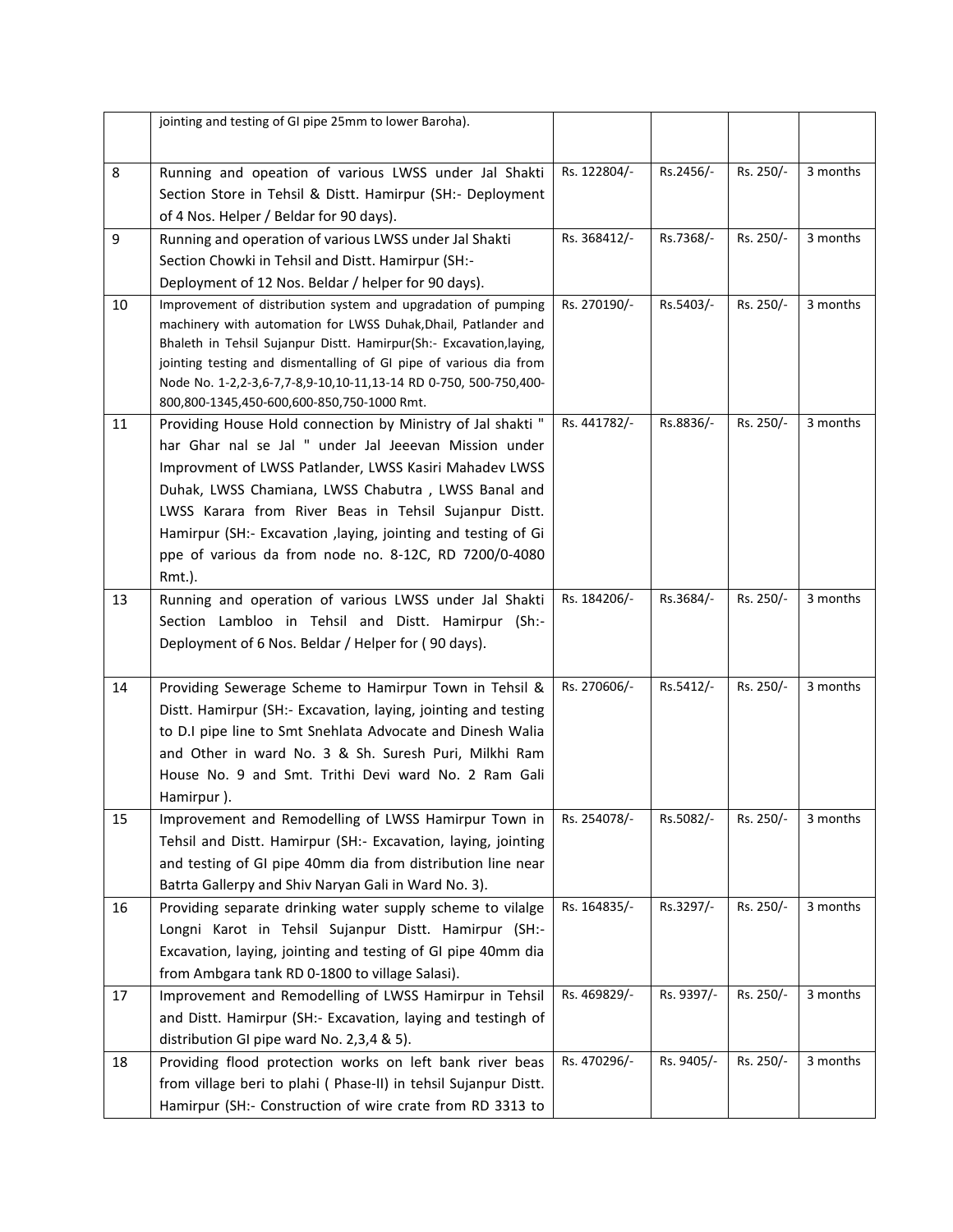|    | jointing and testing of GI pipe 25mm to lower Baroha).                                                                                                                                                                                                                                                                                                                                        |              |            |           |          |
|----|-----------------------------------------------------------------------------------------------------------------------------------------------------------------------------------------------------------------------------------------------------------------------------------------------------------------------------------------------------------------------------------------------|--------------|------------|-----------|----------|
|    |                                                                                                                                                                                                                                                                                                                                                                                               |              |            |           |          |
| 8  | Running and opeation of various LWSS under Jal Shakti                                                                                                                                                                                                                                                                                                                                         | Rs. 122804/- | Rs.2456/-  | Rs. 250/- | 3 months |
|    | Section Store in Tehsil & Distt. Hamirpur (SH:- Deployment                                                                                                                                                                                                                                                                                                                                    |              |            |           |          |
|    | of 4 Nos. Helper / Beldar for 90 days).                                                                                                                                                                                                                                                                                                                                                       |              |            |           |          |
| 9  | Running and operation of various LWSS under Jal Shakti                                                                                                                                                                                                                                                                                                                                        | Rs. 368412/- | Rs.7368/-  | Rs. 250/- | 3 months |
|    | Section Chowki in Tehsil and Distt. Hamirpur (SH:-                                                                                                                                                                                                                                                                                                                                            |              |            |           |          |
|    | Deployment of 12 Nos. Beldar / helper for 90 days).                                                                                                                                                                                                                                                                                                                                           |              |            |           |          |
| 10 | Improvement of distribution system and upgradation of pumping<br>machinery with automation for LWSS Duhak, Dhail, Patlander and<br>Bhaleth in Tehsil Sujanpur Distt. Hamirpur(Sh:- Excavation, laying,<br>jointing testing and dismentalling of GI pipe of various dia from<br>Node No. 1-2,2-3,6-7,7-8,9-10,10-11,13-14 RD 0-750, 500-750,400-<br>800,800-1345,450-600,600-850,750-1000 Rmt. | Rs. 270190/- | Rs.5403/-  | Rs. 250/- | 3 months |
| 11 | Providing House Hold connection by Ministry of Jal shakti "                                                                                                                                                                                                                                                                                                                                   | Rs. 441782/- | Rs.8836/-  | Rs. 250/- | 3 months |
|    | har Ghar nal se Jal " under Jal Jeeevan Mission under                                                                                                                                                                                                                                                                                                                                         |              |            |           |          |
|    | Improvment of LWSS Patlander, LWSS Kasiri Mahadev LWSS                                                                                                                                                                                                                                                                                                                                        |              |            |           |          |
|    | Duhak, LWSS Chamiana, LWSS Chabutra, LWSS Banal and                                                                                                                                                                                                                                                                                                                                           |              |            |           |          |
|    | LWSS Karara from River Beas in Tehsil Sujanpur Distt.<br>Hamirpur (SH:- Excavation , laying, jointing and testing of Gi                                                                                                                                                                                                                                                                       |              |            |           |          |
|    | ppe of various da from node no. 8-12C, RD 7200/0-4080                                                                                                                                                                                                                                                                                                                                         |              |            |           |          |
|    | Rmt.).                                                                                                                                                                                                                                                                                                                                                                                        |              |            |           |          |
| 13 | Running and operation of various LWSS under Jal Shakti                                                                                                                                                                                                                                                                                                                                        | Rs. 184206/- | Rs.3684/-  | Rs. 250/- | 3 months |
|    | Section Lambloo in Tehsil and Distt. Hamirpur (Sh:-                                                                                                                                                                                                                                                                                                                                           |              |            |           |          |
|    | Deployment of 6 Nos. Beldar / Helper for (90 days).                                                                                                                                                                                                                                                                                                                                           |              |            |           |          |
|    |                                                                                                                                                                                                                                                                                                                                                                                               |              |            |           |          |
| 14 | Providing Sewerage Scheme to Hamirpur Town in Tehsil &                                                                                                                                                                                                                                                                                                                                        | Rs. 270606/- | Rs.5412/-  | Rs. 250/- | 3 months |
|    | Distt. Hamirpur (SH:- Excavation, laying, jointing and testing                                                                                                                                                                                                                                                                                                                                |              |            |           |          |
|    | to D.I pipe line to Smt Snehlata Advocate and Dinesh Walia                                                                                                                                                                                                                                                                                                                                    |              |            |           |          |
|    | and Other in ward No. 3 & Sh. Suresh Puri, Milkhi Ram                                                                                                                                                                                                                                                                                                                                         |              |            |           |          |
|    | House No. 9 and Smt. Trithi Devi ward No. 2 Ram Gali                                                                                                                                                                                                                                                                                                                                          |              |            |           |          |
|    | Hamirpur).                                                                                                                                                                                                                                                                                                                                                                                    |              |            |           |          |
| 15 | Improvement and Remodelling of LWSS Hamirpur Town in                                                                                                                                                                                                                                                                                                                                          | Rs. 254078/- | Rs.5082/-  | Rs. 250/- | 3 months |
|    | Tehsil and Distt. Hamirpur (SH:- Excavation, laying, jointing<br>and testing of GI pipe 40mm dia from distribution line near                                                                                                                                                                                                                                                                  |              |            |           |          |
|    | Batrta Gallerpy and Shiv Naryan Gali in Ward No. 3).                                                                                                                                                                                                                                                                                                                                          |              |            |           |          |
| 16 | Providing separate drinking water supply scheme to vilalge                                                                                                                                                                                                                                                                                                                                    | Rs. 164835/- | Rs.3297/-  | Rs. 250/- | 3 months |
|    | Longni Karot in Tehsil Sujanpur Distt. Hamirpur (SH:-                                                                                                                                                                                                                                                                                                                                         |              |            |           |          |
|    | Excavation, laying, jointing and testing of GI pipe 40mm dia                                                                                                                                                                                                                                                                                                                                  |              |            |           |          |
|    | from Ambgara tank RD 0-1800 to village Salasi).                                                                                                                                                                                                                                                                                                                                               |              |            |           |          |
| 17 | Improvement and Remodelling of LWSS Hamirpur in Tehsil                                                                                                                                                                                                                                                                                                                                        | Rs. 469829/- | Rs. 9397/- | Rs. 250/- | 3 months |
|    | and Distt. Hamirpur (SH:- Excavation, laying and testingh of                                                                                                                                                                                                                                                                                                                                  |              |            |           |          |
|    | distribution GI pipe ward No. 2,3,4 & 5).                                                                                                                                                                                                                                                                                                                                                     |              |            |           |          |
| 18 | Providing flood protection works on left bank river beas                                                                                                                                                                                                                                                                                                                                      | Rs. 470296/- | Rs. 9405/- | Rs. 250/- | 3 months |
|    | from village beri to plahi ( Phase-II) in tehsil Sujanpur Distt.                                                                                                                                                                                                                                                                                                                              |              |            |           |          |
|    | Hamirpur (SH:- Construction of wire crate from RD 3313 to                                                                                                                                                                                                                                                                                                                                     |              |            |           |          |